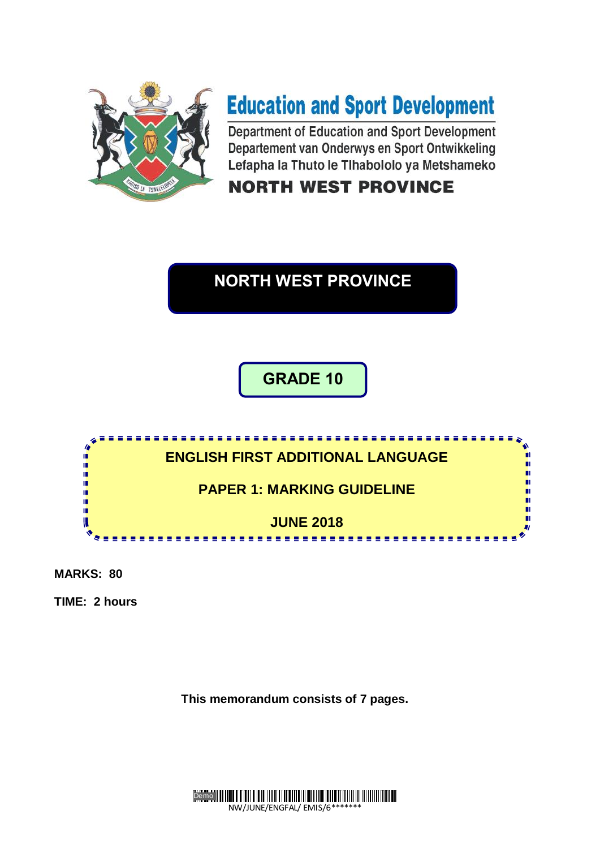

# **Education and Sport Development**

Department of Education and Sport Development Departement van Onderwys en Sport Ontwikkeling Lefapha la Thuto le Tlhabololo ya Metshameko

# **NORTH WEST PROVINCE**

# **NORTH WEST PROVINCE**

# **GRADE 10**



**MARKS: 80**

**TIME: 2 hours**

**This memorandum consists of 7 pages.**

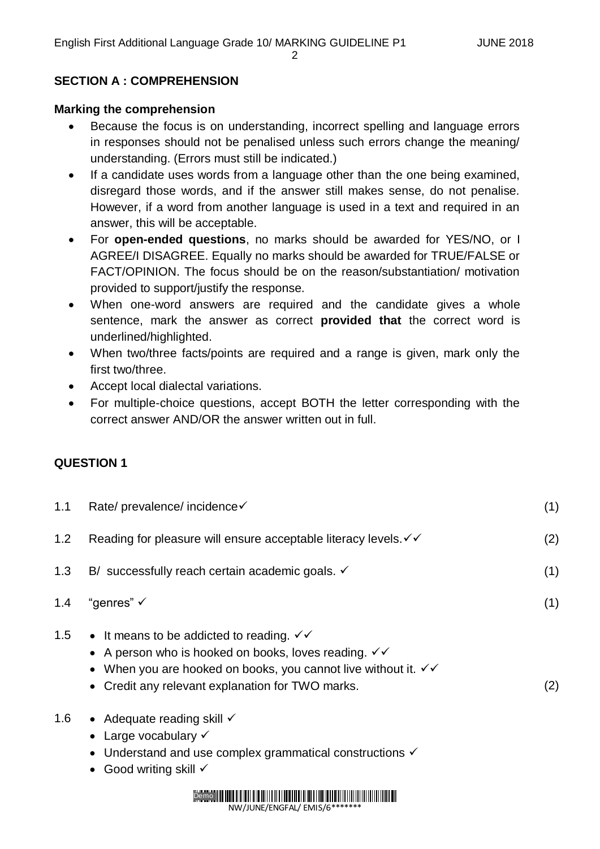#### 2

# **SECTION A : COMPREHENSION**

#### **Marking the comprehension**

- Because the focus is on understanding, incorrect spelling and language errors in responses should not be penalised unless such errors change the meaning/ understanding. (Errors must still be indicated.)
- If a candidate uses words from a language other than the one being examined, disregard those words, and if the answer still makes sense, do not penalise. However, if a word from another language is used in a text and required in an answer, this will be acceptable.
- For **open-ended questions**, no marks should be awarded for YES/NO, or I AGREE/I DISAGREE. Equally no marks should be awarded for TRUE/FALSE or FACT/OPINION. The focus should be on the reason/substantiation/ motivation provided to support/justify the response.
- When one-word answers are required and the candidate gives a whole sentence, mark the answer as correct **provided that** the correct word is underlined/highlighted.
- When two/three facts/points are required and a range is given, mark only the first two/three.
- Accept local dialectal variations.
- For multiple-choice questions, accept BOTH the letter corresponding with the correct answer AND/OR the answer written out in full.

## **QUESTION 1**

| 1.1 | Rate/ prevalence/ incidence√                                                                                                                                                                                                                                                       | (1) |
|-----|------------------------------------------------------------------------------------------------------------------------------------------------------------------------------------------------------------------------------------------------------------------------------------|-----|
| 1.2 | Reading for pleasure will ensure acceptable literacy levels. $\checkmark\checkmark$                                                                                                                                                                                                | (2) |
| 1.3 | B/ successfully reach certain academic goals. ✓                                                                                                                                                                                                                                    | (1) |
| 1.4 | "genres" $\checkmark$                                                                                                                                                                                                                                                              | (1) |
| 1.5 | • It means to be addicted to reading. $\checkmark\checkmark$<br>• A person who is hooked on books, loves reading. $\checkmark\checkmark$<br>• When you are hooked on books, you cannot live without it. $\checkmark\checkmark$<br>• Credit any relevant explanation for TWO marks. | (2) |

- 1.6 Adequate reading skill  $\checkmark$ 
	- Large vocabulary  $\checkmark$
	- $\bullet$  Understand and use complex grammatical constructions  $\checkmark$
	- $\bullet$  Good writing skill  $\checkmark$

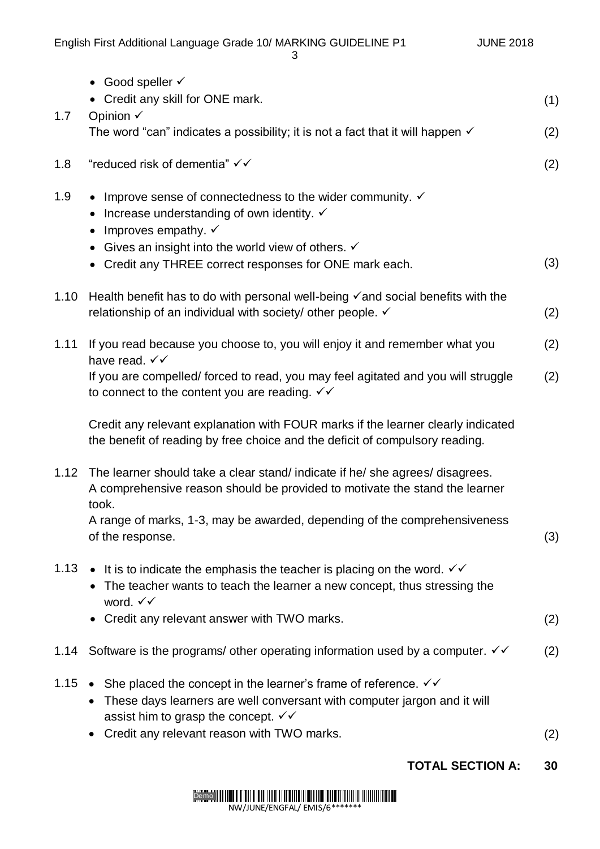English First Additional Language Grade 10/ MARKING GUIDELINE P1 JUNE 2018 3  $\bullet$  Good speller  $\checkmark$  Credit any skill for ONE mark. (1) 1.7 Opinion The word "can" indicates a possibility; it is not a fact that it will happen  $\checkmark$  (2) 1.8 "reduced risk of dementia"  $\checkmark\checkmark$  (2) 1.9 • Improve sense of connectedness to the wider community.  $\checkmark$ • Increase understanding of own identity.  $\checkmark$  $\bullet$  Improves empathy.  $\checkmark$ • Gives an insight into the world view of others.  $\checkmark$  Credit any THREE correct responses for ONE mark each. (3) 1.10 Health benefit has to do with personal well-being  $\checkmark$  and social benefits with the relationship of an individual with society/ other people.  $\checkmark$  (2) 1.11 If you read because you choose to, you will enjoy it and remember what you have read.  $\checkmark\checkmark$ If you are compelled/ forced to read, you may feel agitated and you will struggle to connect to the content you are reading.  $\checkmark\checkmark$ Credit any relevant explanation with FOUR marks if the learner clearly indicated the benefit of reading by free choice and the deficit of compulsory reading. (2) (2) 1.12 The learner should take a clear stand/ indicate if he/ she agrees/ disagrees. A comprehensive reason should be provided to motivate the stand the learner took. A range of marks, 1-3, may be awarded, depending of the comprehensiveness of the response. (3) 1.13 • It is to indicate the emphasis the teacher is placing on the word.  $\checkmark\checkmark$ • The teacher wants to teach the learner a new concept, thus stressing the word.  $\checkmark\checkmark$  Credit any relevant answer with TWO marks. (2) 1.14 Software is the programs/ other operating information used by a computer.  $\checkmark$  (2) 1.15 • She placed the concept in the learner's frame of reference.  $\checkmark\checkmark$ • These days learners are well conversant with computer jargon and it will assist him to grasp the concept.  $\checkmark\checkmark$ 

Credit any relevant reason with TWO marks. (2)

# **TOTAL SECTION A: 30**

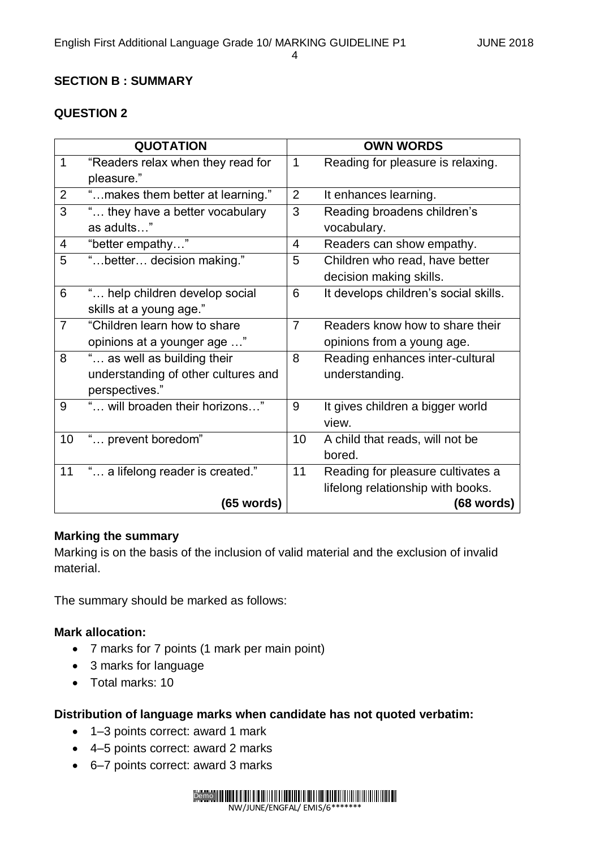4

# **SECTION B : SUMMARY**

# **QUESTION 2**

| <b>QUOTATION</b>         |                                     | <b>OWN WORDS</b> |                                       |  |
|--------------------------|-------------------------------------|------------------|---------------------------------------|--|
| $\mathbf{1}$             | "Readers relax when they read for   | $\mathbf{1}$     | Reading for pleasure is relaxing.     |  |
|                          | pleasure."                          |                  |                                       |  |
| $\overline{2}$           | " makes them better at learning."   | $\overline{2}$   | It enhances learning.                 |  |
| 3                        | " they have a better vocabulary     | 3                | Reading broadens children's           |  |
|                          | as adults"                          |                  | vocabulary.                           |  |
| $\overline{\mathcal{A}}$ | "better empathy"                    | $\overline{4}$   | Readers can show empathy.             |  |
| 5                        | "better decision making."           | 5                | Children who read, have better        |  |
|                          |                                     |                  | decision making skills.               |  |
| 6                        | " help children develop social      | 6                | It develops children's social skills. |  |
|                          | skills at a young age."             |                  |                                       |  |
| $\overline{7}$           | "Children learn how to share        | $\overline{7}$   | Readers know how to share their       |  |
|                          | opinions at a younger age "         |                  | opinions from a young age.            |  |
| 8                        | " as well as building their         | 8                | Reading enhances inter-cultural       |  |
|                          | understanding of other cultures and |                  | understanding.                        |  |
|                          | perspectives."                      |                  |                                       |  |
| 9                        | " will broaden their horizons"      | 9                | It gives children a bigger world      |  |
|                          |                                     |                  | view.                                 |  |
| 10                       | " prevent boredom"                  | 10               | A child that reads, will not be       |  |
|                          |                                     |                  | bored.                                |  |
| 11                       | " a lifelong reader is created."    | 11               | Reading for pleasure cultivates a     |  |
|                          |                                     |                  | lifelong relationship with books.     |  |
|                          | $(65$ words)                        |                  | $(68$ words)                          |  |

#### **Marking the summary**

Marking is on the basis of the inclusion of valid material and the exclusion of invalid material.

The summary should be marked as follows:

## **Mark allocation:**

- 7 marks for 7 points (1 mark per main point)
- 3 marks for language
- Total marks: 10

## **Distribution of language marks when candidate has not quoted verbatim:**

- 1–3 points correct: award 1 mark
- 4–5 points correct: award 2 marks
- 6–7 points correct: award 3 marks

Demo NW/JUNE/ENGFAL/ EMIS/6\*\*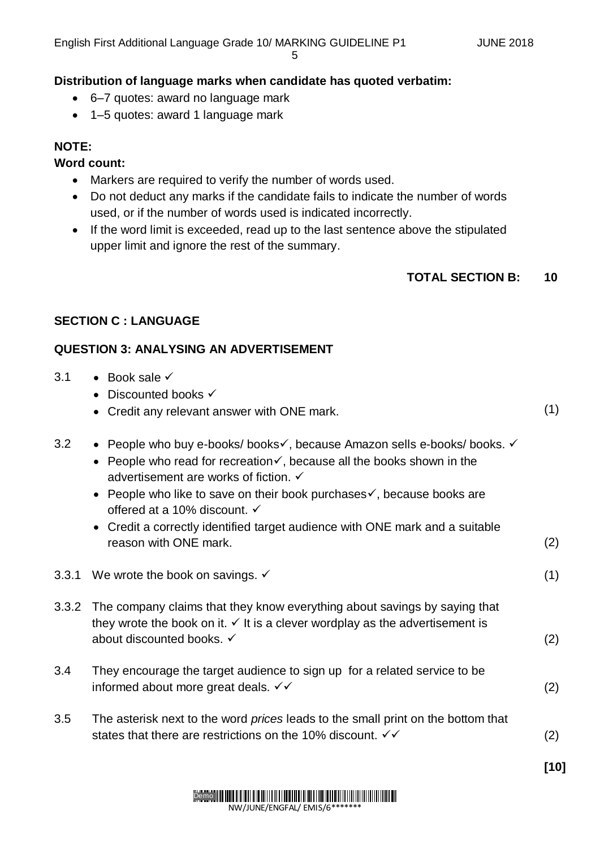#### **Distribution of language marks when candidate has quoted verbatim:**

- 6–7 quotes: award no language mark
- 1–5 quotes: award 1 language mark

## **NOTE:**

#### **Word count:**

- Markers are required to verify the number of words used.
- Do not deduct any marks if the candidate fails to indicate the number of words used, or if the number of words used is indicated incorrectly.
- If the word limit is exceeded, read up to the last sentence above the stipulated upper limit and ignore the rest of the summary.

#### **TOTAL SECTION B: 10**

#### **SECTION C : LANGUAGE**

#### **QUESTION 3: ANALYSING AN ADVERTISEMENT**

- 3.1 Book sale  $\checkmark$ 
	- Discounted books  $\checkmark$
	- Credit any relevant answer with ONE mark. (1)
- 3.2 People who buy e-books/ books v, because Amazon sells e-books/ books. v
	- People who read for recreation  $\checkmark$ , because all the books shown in the advertisement are works of fiction. ✓
	- People who like to save on their book purchases $\checkmark$ , because books are offered at a 10% discount.
	- Credit a correctly identified target audience with ONE mark and a suitable reason with ONE mark. (2)
- 3.3.1 We wrote the book on savings.  $\checkmark$  (1)
- 3.3.2 The company claims that they know everything about savings by saying that they wrote the book on it.  $\checkmark$  It is a clever wordplay as the advertisement is about discounted books.  $\checkmark$  (2)
- 3.4 They encourage the target audience to sign up for a related service to be informed about more great deals.  $\checkmark$   $\checkmark$
- 3.5 The asterisk next to the word *prices* leads to the small print on the bottom that states that there are restrictions on the 10% discount.  $\checkmark$   $\checkmark$  (2)

**[10]**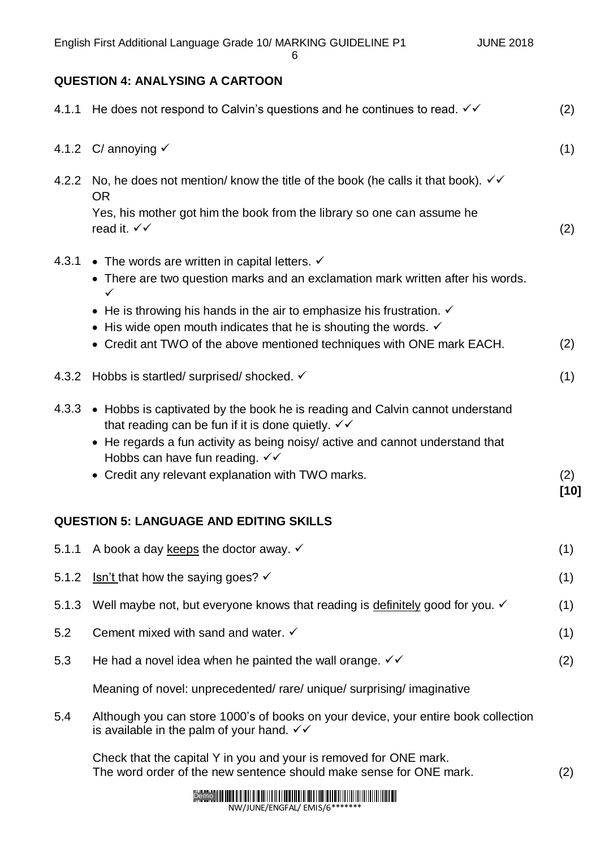6

# **QUESTION 4: ANALYSING A CARTOON**

|       | 4.1.1 He does not respond to Calvin's questions and he continues to read. $\checkmark\checkmark$                                                                                                                                                                                                   | (2)           |
|-------|----------------------------------------------------------------------------------------------------------------------------------------------------------------------------------------------------------------------------------------------------------------------------------------------------|---------------|
|       | 4.1.2 C/ annoying $\checkmark$                                                                                                                                                                                                                                                                     | (1)           |
| 4.2.2 | No, he does not mention/ know the title of the book (he calls it that book). $\checkmark\checkmark$<br><b>OR</b>                                                                                                                                                                                   |               |
|       | Yes, his mother got him the book from the library so one can assume he<br>read it. $\checkmark\checkmark$                                                                                                                                                                                          | (2)           |
| 4.3.1 | • The words are written in capital letters. $\checkmark$<br>• There are two question marks and an exclamation mark written after his words.<br>$\checkmark$                                                                                                                                        |               |
|       | • He is throwing his hands in the air to emphasize his frustration. $\checkmark$                                                                                                                                                                                                                   |               |
|       | • His wide open mouth indicates that he is shouting the words. $\checkmark$<br>• Credit ant TWO of the above mentioned techniques with ONE mark EACH.                                                                                                                                              | (2)           |
|       | 4.3.2 Hobbs is startled/surprised/shocked. ✓                                                                                                                                                                                                                                                       | (1)           |
|       | 4.3.3 • Hobbs is captivated by the book he is reading and Calvin cannot understand<br>that reading can be fun if it is done quietly. $\checkmark\checkmark$<br>• He regards a fun activity as being noisy/ active and cannot understand that<br>Hobbs can have fun reading. $\checkmark\checkmark$ |               |
|       | • Credit any relevant explanation with TWO marks.                                                                                                                                                                                                                                                  | (2)<br>$[10]$ |
|       | <b>QUESTION 5: LANGUAGE AND EDITING SKILLS</b>                                                                                                                                                                                                                                                     |               |
|       | 5.1.1 A book a day keeps the doctor away. $\checkmark$                                                                                                                                                                                                                                             | (1)           |
| 5.1.2 | Isn't that how the saying goes? $\checkmark$                                                                                                                                                                                                                                                       | (1)           |
| 5.1.3 | Well maybe not, but everyone knows that reading is definitely good for you. ✓                                                                                                                                                                                                                      | (1)           |
| 5.2   | Cement mixed with sand and water. $\checkmark$                                                                                                                                                                                                                                                     | (1)           |
| 5.3   | He had a novel idea when he painted the wall orange. $\checkmark\checkmark$                                                                                                                                                                                                                        | (2)           |
|       | Meaning of novel: unprecedented/rare/unique/surprising/imaginative                                                                                                                                                                                                                                 |               |
| 5.4   | Although you can store 1000's of books on your device, your entire book collection<br>is available in the palm of your hand. $\checkmark\checkmark$                                                                                                                                                |               |
|       | Check that the capital Y in you and your is removed for ONE mark.<br>The word order of the new sentence should make sense for ONE mark.                                                                                                                                                            | (2)           |